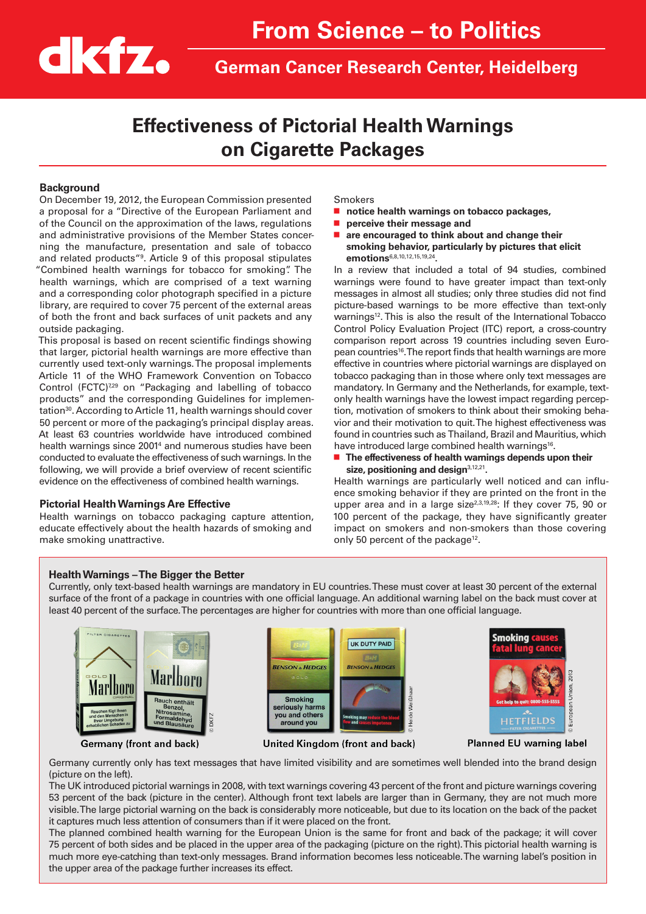

**German Cancer Research Center, Heidelberg**

# **Effectiveness of Pictorial Health Warnings on Cigarette Packages**

#### **Background**

On December 19, 2012, the European Commission presented a proposal for a "Directive of the European Parliament and of the Council on the approximation of the laws, regulations and administrative provisions of the Member States concerning the manufacture, presentation and sale of tobacco and related products"9 . Article 9 of this proposal stipulates "Combined health warnings for tobacco for smoking". The health warnings, which are comprised of a text warning and a corresponding color photograph specified in a picture library, are required to cover 75 percent of the external areas of both the front and back surfaces of unit packets and any outside packaging.

This proposal is based on recent scientific findings showing that larger, pictorial health warnings are more effective than currently used text-only warnings. The proposal implements Article 11 of the WHO Framework Convention on Tobacco Control (FCTC)<sup>7,29</sup> on "Packaging and labelling of tobacco products" and the corresponding Guidelines for implementation<sup>30</sup>. According to Article 11, health warnings should cover 50 percent or more of the packaging's principal display areas. At least 63 countries worldwide have introduced combined health warnings since 2001<sup>4</sup> and numerous studies have been conducted to evaluate the effectiveness of such warnings. In the following, we will provide a brief overview of recent scientific evidence on the effectiveness of combined health warnings.

#### **Pictorial Health Warnings Are Effective**

Health warnings on tobacco packaging capture attention, educate effectively about the health hazards of smoking and make smoking unattractive.

Smokers

- **notice health warnings on tobacco packages,**
- perceive their message and
- are encouraged to think about and change their **smoking behavior, particularly by pictures that elicit emotions**6,8,10,12,15,19,24**.**

In a review that included a total of 94 studies, combined warnings were found to have greater impact than text-only messages in almost all studies; only three studies did not find picture-based warnings to be more effective than text-only warnings<sup>12</sup>. This is also the result of the International Tobacco Control Policy Evaluation Project (ITC) report, a cross-country comparison report across 19 countries including seven European countries<sup>16</sup>. The report finds that health warnings are more effective in countries where pictorial warnings are displayed on tobacco packaging than in those where only text messages are mandatory. In Germany and the Netherlands, for example, textonly health warnings have the lowest impact regarding perception, motivation of smokers to think about their smoking behavior and their motivation to quit. The highest effectiveness was found in countries such as Thailand, Brazil and Mauritius, which have introduced large combined health warnings<sup>16</sup>.

■ The effectiveness of health warnings depends upon their **size, positioning and design**3,12,21**.** 

Health warnings are particularly well noticed and can influence smoking behavior if they are printed on the front in the upper area and in a large size<sup>2,3,19,28</sup>: If they cover 75, 90 or 100 percent of the package, they have significantly greater impact on smokers and non-smokers than those covering only 50 percent of the package<sup>12</sup>.

# **Health Warnings – The Bigger the Better**

Currently, only text-based health warnings are mandatory in EU countries. These must cover at least 30 percent of the external surface of the front of a package in countries with one official language. An additional warning label on the back must cover at least 40 percent of the surface. The percentages are higher for countries with more than one official language.



**Germany (front and back)** 







Planned EU warning label

Germany currently only has text messages that have limited visibility and are sometimes well blended into the brand design (picture on the left).

The UK introduced pictorial warnings in 2008, with text warnings covering 43 percent of the front and picture warnings covering 53 percent of the back (picture in the center). Although front text labels are larger than in Germany, they are not much more visible. The large pictorial warning on the back is considerably more noticeable, but due to its location on the back of the packet it captures much less attention of consumers than if it were placed on the front.

The planned combined health warning for the European Union is the same for front and back of the package; it will cover 75 percent of both sides and be placed in the upper area of the packaging (picture on the right). This pictorial health warning is much more eye-catching than text-only messages. Brand information becomes less noticeable. The warning label's position in the upper area of the package further increases its effect.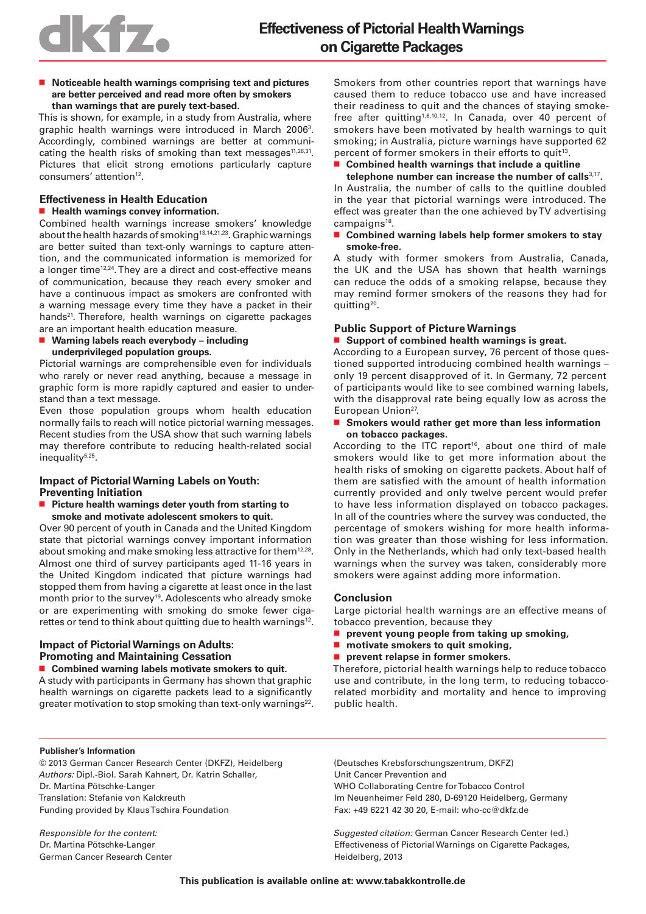■ **Noticeable health warnings comprising text and pictures are better perceived and read more often by smokers than warnings that are purely text-based.** 

This is shown, for example, in a study from Australia, where graphic health warnings were introduced in March 2006<sup>3</sup>. Accordingly, combined warnings are better at communicating the health risks of smoking than text messages $11,26,31$ . Pictures that elicit strong emotions particularly capture consumers' attention<sup>12</sup>.

#### **Effectiveness in Health Education**  ■ **Health warnings convey information.**

Combined health warnings increase smokers' knowledge about the health hazards of smoking<sup>13,14,21,23</sup>. Graphic warnings are better suited than text-only warnings to capture attention, and the communicated information is memorized for a longer time<sup>12,24</sup>. They are a direct and cost-effective means of communication, because they reach every smoker and have a continuous impact as smokers are confronted with a warning message every time they have a packet in their hands<sup>21</sup>. Therefore, health warnings on cigarette packages are an important health education measure.

■ Warning labels reach everybody – including **underprivileged population groups.**

Pictorial warnings are comprehensible even for individuals who rarely or never read anything, because a message in graphic form is more rapidly captured and easier to understand than a text message.

Even those population groups whom health education normally fails to reach will notice pictorial warning messages. Recent studies from the USA show that such warning labels may therefore contribute to reducing health-related social inequality<sup>5,25</sup>.

# **Impact of Pictorial Warning Labels on Youth: Preventing Initiation**

■ Picture health warnings deter youth from starting to **smoke and motivate adolescent smokers to quit.**

Over 90 percent of youth in Canada and the United Kingdom state that pictorial warnings convey important information about smoking and make smoking less attractive for them<sup>12,28</sup>. Almost one third of survey participants aged 11-16 years in the United Kingdom indicated that picture warnings had stopped them from having a cigarette at least once in the last month prior to the survey<sup>19</sup>. Adolescents who already smoke or are experimenting with smoking do smoke fewer cigarettes or tend to think about quitting due to health warnings<sup>12</sup>.

# **Impact of Pictorial Warnings on Adults: Promoting and Maintaining Cessation**

■ Combined warning labels motivate smokers to quit.

A study with participants in Germany has shown that graphic health warnings on cigarette packets lead to a significantly greater motivation to stop smoking than text-only warnings<sup>22</sup>. Smokers from other countries report that warnings have caused them to reduce tobacco use and have increased their readiness to quit and the chances of staying smokefree after quitting1,6,10,12. In Canada, over 40 percent of smokers have been motivated by health warnings to quit smoking; in Australia, picture warnings have supported 62 percent of former smokers in their efforts to quit<sup>13</sup>.

### ■ Combined health warnings that include a quitline

**telephone number can increase the number of calls**3,17**.** In Australia, the number of calls to the quitline doubled in the year that pictorial warnings were introduced. The effect was greater than the one achieved by TV advertising campaigns<sup>18</sup>.

■ Combined warning labels help former smokers to stay **smoke-free.**

A study with former smokers from Australia, Canada, the UK and the USA has shown that health warnings can reduce the odds of a smoking relapse, because they may remind former smokers of the reasons they had for quitting20.

# **Public Support of Picture Warnings**

#### ■ Support of combined health warnings is great.

According to a European survey, 76 percent of those questioned supported introducing combined health warnings – only 19 percent disapproved of it. In Germany, 72 percent of participants would like to see combined warning labels, with the disapproval rate being equally low as across the European Union<sup>27</sup>.

#### ■ Smokers would rather get more than less information **on tobacco packages.**

According to the ITC report<sup>16</sup>, about one third of male smokers would like to get more information about the health risks of smoking on cigarette packets. About half of them are satisfied with the amount of health information currently provided and only twelve percent would prefer to have less information displayed on tobacco packages. In all of the countries where the survey was conducted, the percentage of smokers wishing for more health information was greater than those wishing for less information. Only in the Netherlands, which had only text-based health warnings when the survey was taken, considerably more smokers were against adding more information.

# **Conclusion**

Large pictorial health warnings are an effective means of tobacco prevention, because they

- prevent young people from taking up smoking,
- motivate smokers to quit smoking,
- **prevent relapse in former smokers.**

Therefore, pictorial health warnings help to reduce tobacco use and contribute, in the long term, to reducing tobaccorelated morbidity and mortality and hence to improving public health.

#### **Publisher's Information**

© 2013 German Cancer Research Center (DKFZ), Heidelberg Authors: Dipl.-Biol. Sarah Kahnert, Dr. Katrin Schaller, Dr. Martina Pötschke-Langer Translation: Stefanie von Kalckreuth Funding provided by Klaus Tschira Foundation

Responsible for the content: Dr. Martina Pötschke-Langer German Cancer Research Center (Deutsches Krebsforschungszentrum, DKFZ) Unit Cancer Prevention and WHO Collaborating Centre for Tobacco Control Im Neuenheimer Feld 280, D-69120 Heidelberg, Germany Fax: +49 6221 42 30 20, E-mail: who-cc@dkfz.de

Suggested citation: German Cancer Research Center (ed.) Effectiveness of Pictorial Warnings on Cigarette Packages, Heidelberg, 2013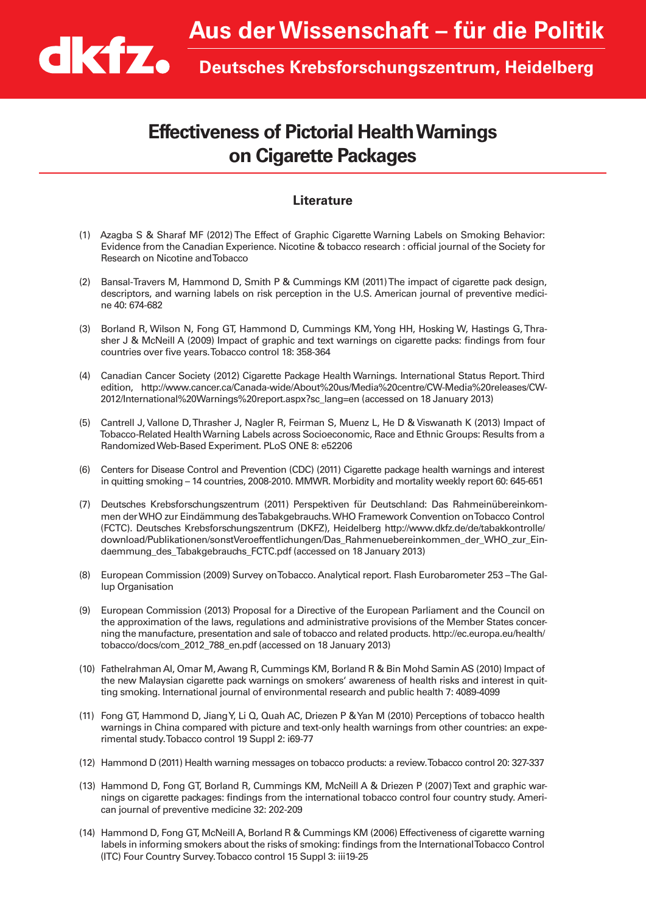# **Effectiveness of Pictorial Health Warnings on Cigarette Packages**

# **Literature**

- (1) Azagba S & Sharaf MF (2012) The Effect of Graphic Cigarette Warning Labels on Smoking Behavior: Evidence from the Canadian Experience. Nicotine & tobacco research : official journal of the Society for Research on Nicotine and Tobacco
- (2) Bansal-Travers M, Hammond D, Smith P & Cummings KM (2011) The impact of cigarette pack design, descriptors, and warning labels on risk perception in the U.S. American journal of preventive medicine 40: 674-682
- (3) Borland R, Wilson N, Fong GT, Hammond D, Cummings KM, Yong HH, Hosking W, Hastings G, Thrasher J & McNeill A (2009) Impact of graphic and text warnings on cigarette packs: findings from four countries over five years. Tobacco control 18: 358-364
- (4) Canadian Cancer Society (2012) Cigarette Package Health Warnings. International Status Report. Third edition, http://www.cancer.ca/Canada-wide/About%20us/Media%20centre/CW-Media%20releases/CW-2012/International%20Warnings%20report.aspx?sc\_lang=en (accessed on 18 January 2013)
- (5) Cantrell J, Vallone D, Thrasher J, Nagler R, Feirman S, Muenz L, He D & Viswanath K (2013) Impact of Tobacco-Related Health Warning Labels across Socioeconomic, Race and Ethnic Groups: Results from a Randomized Web-Based Experiment. PLoS ONE 8: e52206
- (6) Centers for Disease Control and Prevention (CDC) (2011) Cigarette package health warnings and interest in quitting smoking – 14 countries, 2008-2010. MMWR. Morbidity and mortality weekly report 60: 645-651
- (7) Deutsches Krebsforschungszentrum (2011) Perspektiven für Deutschland: Das Rahmeinübereinkommen der WHO zur Eindämmung des Tabakgebrauchs. WHO Framework Convention on Tobacco Control (FCTC). Deutsches Krebsforschungszentrum (DKFZ), Heidelberg http://www.dkfz.de/de/tabakkontrolle/ download/Publikationen/sonstVeroeffentlichungen/Das\_Rahmenuebereinkommen\_der\_WHO\_zur\_Eindaemmung\_des\_Tabakgebrauchs\_FCTC.pdf (accessed on 18 January 2013)
- (8) European Commission (2009) Survey on Tobacco. Analytical report. Flash Eurobarometer 253 The Gallup Organisation
- (9) European Commission (2013) Proposal for a Directive of the European Parliament and the Council on the approximation of the laws, regulations and administrative provisions of the Member States concerning the manufacture, presentation and sale of tobacco and related products. http://ec.europa.eu/health/ tobacco/docs/com\_2012\_788\_en.pdf (accessed on 18 January 2013)
- (10) Fathelrahman AI, Omar M, Awang R, Cummings KM, Borland R & Bin Mohd Samin AS (2010) Impact of the new Malaysian cigarette pack warnings on smokers' awareness of health risks and interest in quitting smoking. International journal of environmental research and public health 7: 4089-4099
- (11) Fong GT, Hammond D, Jiang Y, Li Q, Quah AC, Driezen P & Yan M (2010) Perceptions of tobacco health warnings in China compared with picture and text-only health warnings from other countries: an experimental study. Tobacco control 19 Suppl 2: i69-77
- (12) Hammond D (2011) Health warning messages on tobacco products: a review. Tobacco control 20: 327-337
- (13) Hammond D, Fong GT, Borland R, Cummings KM, McNeill A & Driezen P (2007) Text and graphic warnings on cigarette packages: findings from the international tobacco control four country study. American journal of preventive medicine 32: 202-209
- (14) Hammond D, Fong GT, McNeill A, Borland R & Cummings KM (2006) Effectiveness of cigarette warning labels in informing smokers about the risks of smoking: findings from the International Tobacco Control (ITC) Four Country Survey. Tobacco control 15 Suppl 3: iii19-25